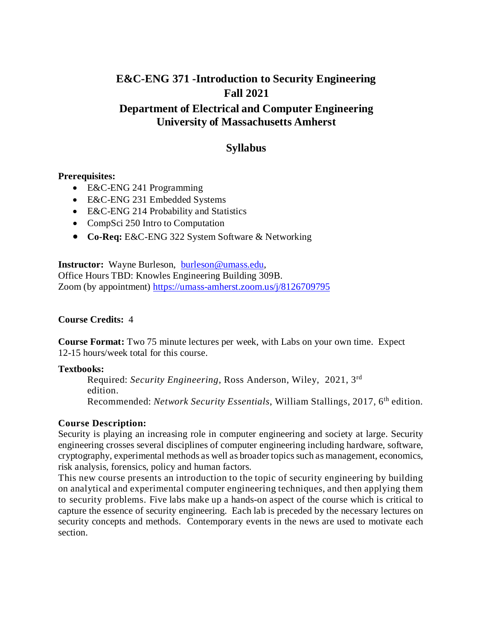# **E&C-ENG 371 -Introduction to Security Engineering Fall 2021**

## **Department of Electrical and Computer Engineering University of Massachusetts Amherst**

# **Syllabus**

#### **Prerequisites:**

- E&C-ENG 241 Programming
- E&C-ENG 231 Embedded Systems
- E&C-ENG 214 Probability and Statistics
- CompSci 250 Intro to Computation
- **Co-Req:** E&C-ENG 322 System Software & Networking

**Instructor:** Wayne Burleson, [burleson@umass.edu,](mailto:burleson@umass.edu) Office Hours TBD: Knowles Engineering Building 309B. Zoom (by appointment)<https://umass-amherst.zoom.us/j/8126709795>

#### **Course Credits:** 4

**Course Format:** Two 75 minute lectures per week, with Labs on your own time. Expect 12-15 hours/week total for this course.

#### **Textbooks:**

Required: *Security Engineering*, Ross Anderson, Wiley, 2021, 3rd edition. Recommended: *Network Security Essentials*, William Stallings, 2017, 6th edition.

### **Course Description:**

Security is playing an increasing role in computer engineering and society at large. Security engineering crosses several disciplines of computer engineering including hardware, software, cryptography, experimental methods as well as broader topics such as management, economics, risk analysis, forensics, policy and human factors.

This new course presents an introduction to the topic of security engineering by building on analytical and experimental computer engineering techniques, and then applying them to security problems. Five labs make up a hands-on aspect of the course which is critical to capture the essence of security engineering. Each lab is preceded by the necessary lectures on security concepts and methods. Contemporary events in the news are used to motivate each section.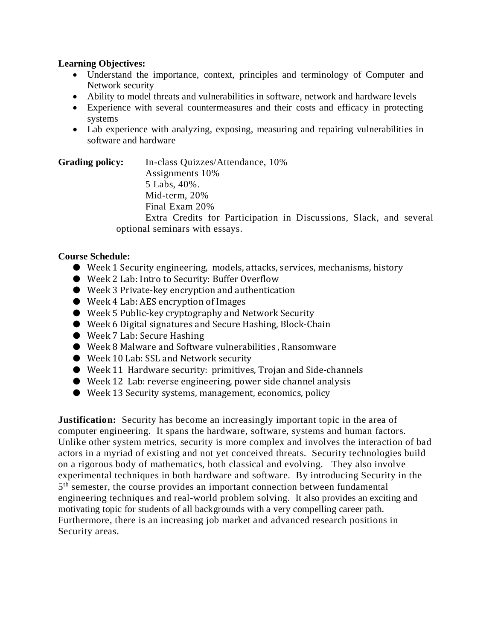#### **Learning Objectives:**

- Understand the importance, context, principles and terminology of Computer and Network security
- Ability to model threats and vulnerabilities in software, network and hardware levels
- Experience with several countermeasures and their costs and efficacy in protecting systems
- Lab experience with analyzing, exposing, measuring and repairing vulnerabilities in software and hardware

**Grading policy:** In-class Quizzes/Attendance, 10% Assignments 10% 5 Labs, 40%. Mid-term, 20% Final Exam 20% Extra Credits for Participation in Discussions, Slack, and several optional seminars with essays.

### **Course Schedule:**

- Week 1 Security engineering, models, attacks, services, mechanisms, history
- Week 2 Lab: Intro to Security: Buffer Overflow
- Week 3 Private-key encryption and authentication
- Week 4 Lab: AES encryption of Images
- Week 5 Public-key cryptography and Network Security
- Week 6 Digital signatures and Secure Hashing, Block-Chain
- Week 7 Lab: Secure Hashing
- Week 8 Malware and Software vulnerabilities, Ransomware
- Week 10 Lab: SSL and Network security
- Week 11 Hardware security: primitives, Trojan and Side-channels
- Week 12 Lab: reverse engineering, power side channel analysis
- Week 13 Security systems, management, economics, policy

**Justification:** Security has become an increasingly important topic in the area of computer engineering. It spans the hardware, software, systems and human factors. Unlike other system metrics, security is more complex and involves the interaction of bad actors in a myriad of existing and not yet conceived threats. Security technologies build on a rigorous body of mathematics, both classical and evolving. They also involve experimental techniques in both hardware and software. By introducing Security in the  $5<sup>th</sup>$  semester, the course provides an important connection between fundamental engineering techniques and real-world problem solving. It also provides an exciting and motivating topic for students of all backgrounds with a very compelling career path. Furthermore, there is an increasing job market and advanced research positions in Security areas.